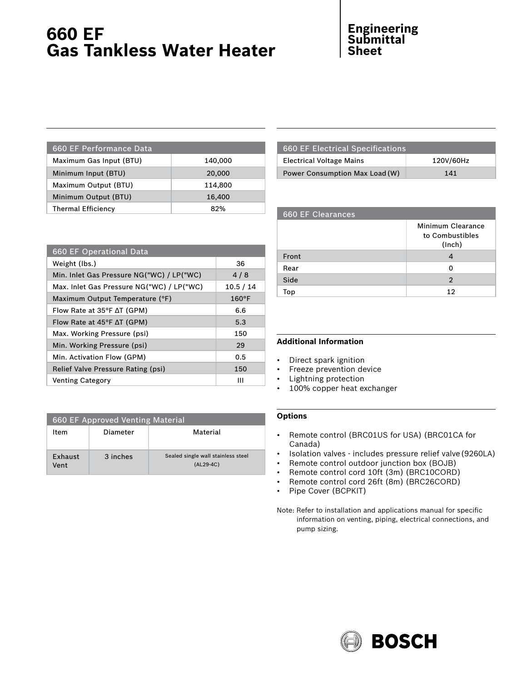# **660 EF Gas Tankless Water Heater**

## **Engineering Submittal Sheet**

| 660 EF Performance Data   |         |
|---------------------------|---------|
| Maximum Gas Input (BTU)   | 140,000 |
| Minimum Input (BTU)       | 20,000  |
| Maximum Output (BTU)      | 114,800 |
| Minimum Output (BTU)      | 16,400  |
| <b>Thermal Efficiency</b> | 82%     |
|                           |         |

| <b>660 EF Electrical Specifications</b> |           |
|-----------------------------------------|-----------|
| <b>Electrical Voltage Mains</b>         | 120V/60Hz |
| Power Consumption Max Load (W)          | 141       |

| <b>660 EF Clearances</b> |                                                |
|--------------------------|------------------------------------------------|
|                          | Minimum Clearance<br>to Combustibles<br>(Inch) |
| Front                    |                                                |
| Rear                     | O                                              |
| Side                     | $\overline{2}$                                 |
| Top                      | 12                                             |

| 660 EF Operational Data                      |           |
|----------------------------------------------|-----------|
| Weight (lbs.)                                | 36        |
| Min. Inlet Gas Pressure NG("WC) / LP("WC)    | 4/8       |
| Max. Inlet Gas Pressure NG("WC) / LP("WC)    | 10.5 / 14 |
| Maximum Output Temperature (°F)              | 160°F     |
| Flow Rate at $35^{\circ}$ F $\Delta$ T (GPM) | 6.6       |
| Flow Rate at $45^{\circ}$ F $\Delta$ T (GPM) | 5.3       |
| Max. Working Pressure (psi)                  | 150       |
| Min. Working Pressure (psi)                  | 29        |
| Min. Activation Flow (GPM)                   | 0.5       |
| Relief Valve Pressure Rating (psi)           | 150       |
| Venting Category                             | Ш         |

| 660 EF Approved Venting Material |          |                                                   |
|----------------------------------|----------|---------------------------------------------------|
| ltem                             | Diameter | Material                                          |
| <b>Exhaust</b><br>Vent           | 3 inches | Sealed single wall stainless steel<br>$(AL29-4C)$ |

### **Additional Information**

- Direct spark ignition
- Freeze prevention device
- Lightning protection
- 100% copper heat exchanger

### **Options**

- Remote control (BRC01US for USA) (BRC01CA for Canada)
- Isolation valves includes pressure relief valve(9260LA)
- Remote control outdoor junction box (BOJB)
- Remote control cord 10ft (3m) (BRC10CORD)
- Remote control cord 26ft (8m) (BRC26CORD)
- Pipe Cover (BCPKIT)
- Note: Refer to installation and applications manual for specific information on venting, piping, electrical connections, and pump sizing.